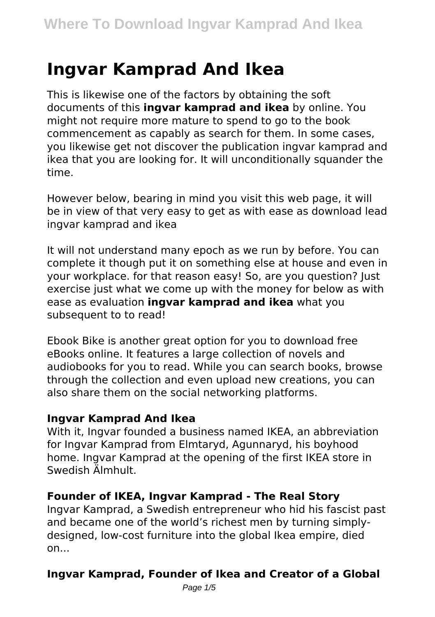# **Ingvar Kamprad And Ikea**

This is likewise one of the factors by obtaining the soft documents of this **ingvar kamprad and ikea** by online. You might not require more mature to spend to go to the book commencement as capably as search for them. In some cases, you likewise get not discover the publication ingvar kamprad and ikea that you are looking for. It will unconditionally squander the time.

However below, bearing in mind you visit this web page, it will be in view of that very easy to get as with ease as download lead ingvar kamprad and ikea

It will not understand many epoch as we run by before. You can complete it though put it on something else at house and even in your workplace. for that reason easy! So, are you question? Just exercise just what we come up with the money for below as with ease as evaluation **ingvar kamprad and ikea** what you subsequent to to read!

Ebook Bike is another great option for you to download free eBooks online. It features a large collection of novels and audiobooks for you to read. While you can search books, browse through the collection and even upload new creations, you can also share them on the social networking platforms.

#### **Ingvar Kamprad And Ikea**

With it, Ingvar founded a business named IKEA, an abbreviation for Ingvar Kamprad from Elmtaryd, Agunnaryd, his boyhood home. Ingvar Kamprad at the opening of the first IKEA store in Swedish Älmhult.

#### **Founder of IKEA, Ingvar Kamprad - The Real Story**

Ingvar Kamprad, a Swedish entrepreneur who hid his fascist past and became one of the world's richest men by turning simplydesigned, low-cost furniture into the global Ikea empire, died  $on...$ 

# **Ingvar Kamprad, Founder of Ikea and Creator of a Global**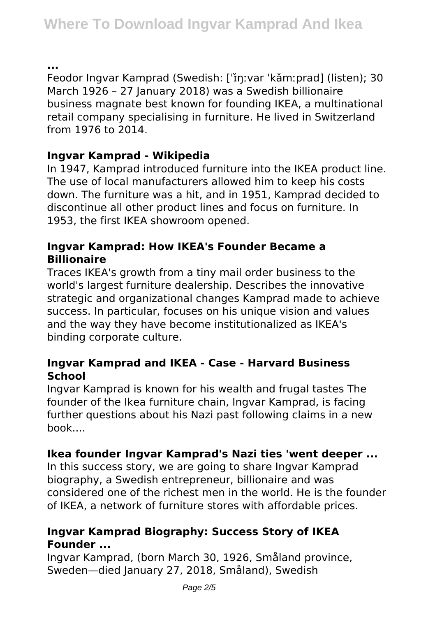**...**

Feodor Ingvar Kamprad (Swedish: ['řnːvar 'kǎmːprad] (listen); 30 March 1926 – 27 January 2018) was a Swedish billionaire business magnate best known for founding IKEA, a multinational retail company specialising in furniture. He lived in Switzerland from 1976 to 2014.

# **Ingvar Kamprad - Wikipedia**

In 1947, Kamprad introduced furniture into the IKEA product line. The use of local manufacturers allowed him to keep his costs down. The furniture was a hit, and in 1951, Kamprad decided to discontinue all other product lines and focus on furniture. In 1953, the first IKEA showroom opened.

# **Ingvar Kamprad: How IKEA's Founder Became a Billionaire**

Traces IKEA's growth from a tiny mail order business to the world's largest furniture dealership. Describes the innovative strategic and organizational changes Kamprad made to achieve success. In particular, focuses on his unique vision and values and the way they have become institutionalized as IKEA's binding corporate culture.

# **Ingvar Kamprad and IKEA - Case - Harvard Business School**

Ingvar Kamprad is known for his wealth and frugal tastes The founder of the Ikea furniture chain, Ingvar Kamprad, is facing further questions about his Nazi past following claims in a new book....

# **Ikea founder Ingvar Kamprad's Nazi ties 'went deeper ...**

In this success story, we are going to share Ingvar Kamprad biography, a Swedish entrepreneur, billionaire and was considered one of the richest men in the world. He is the founder of IKEA, a network of furniture stores with affordable prices.

# **Ingvar Kamprad Biography: Success Story of IKEA Founder ...**

Ingvar Kamprad, (born March 30, 1926, Småland province, Sweden—died January 27, 2018, Småland), Swedish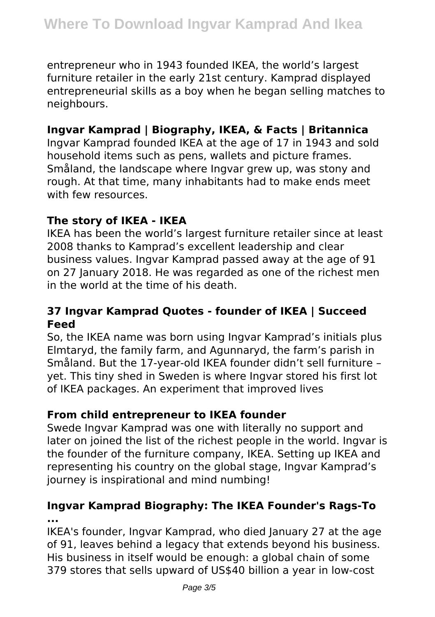entrepreneur who in 1943 founded IKEA, the world's largest furniture retailer in the early 21st century. Kamprad displayed entrepreneurial skills as a boy when he began selling matches to neighbours.

## **Ingvar Kamprad | Biography, IKEA, & Facts | Britannica**

Ingvar Kamprad founded IKEA at the age of 17 in 1943 and sold household items such as pens, wallets and picture frames. Småland, the landscape where Ingvar grew up, was stony and rough. At that time, many inhabitants had to make ends meet with few resources

#### **The story of IKEA - IKEA**

IKEA has been the world's largest furniture retailer since at least 2008 thanks to Kamprad's excellent leadership and clear business values. Ingvar Kamprad passed away at the age of 91 on 27 January 2018. He was regarded as one of the richest men in the world at the time of his death.

## **37 Ingvar Kamprad Quotes - founder of IKEA | Succeed Feed**

So, the IKEA name was born using Ingvar Kamprad's initials plus Elmtaryd, the family farm, and Agunnaryd, the farm's parish in Småland. But the 17-year-old IKEA founder didn't sell furniture – yet. This tiny shed in Sweden is where Ingvar stored his first lot of IKEA packages. An experiment that improved lives

#### **From child entrepreneur to IKEA founder**

Swede Ingvar Kamprad was one with literally no support and later on joined the list of the richest people in the world. Ingvar is the founder of the furniture company, IKEA. Setting up IKEA and representing his country on the global stage, Ingvar Kamprad's journey is inspirational and mind numbing!

## **Ingvar Kamprad Biography: The IKEA Founder's Rags-To ...**

IKEA's founder, Ingvar Kamprad, who died January 27 at the age of 91, leaves behind a legacy that extends beyond his business. His business in itself would be enough: a global chain of some 379 stores that sells upward of US\$40 billion a year in low-cost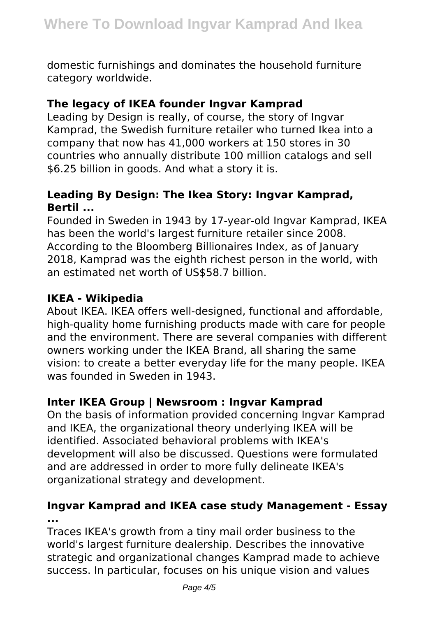domestic furnishings and dominates the household furniture category worldwide.

## **The legacy of IKEA founder Ingvar Kamprad**

Leading by Design is really, of course, the story of Ingvar Kamprad, the Swedish furniture retailer who turned Ikea into a company that now has 41,000 workers at 150 stores in 30 countries who annually distribute 100 million catalogs and sell \$6.25 billion in goods. And what a story it is.

# **Leading By Design: The Ikea Story: Ingvar Kamprad, Bertil ...**

Founded in Sweden in 1943 by 17-year-old Ingvar Kamprad, IKEA has been the world's largest furniture retailer since 2008. According to the Bloomberg Billionaires Index, as of January 2018, Kamprad was the eighth richest person in the world, with an estimated net worth of US\$58.7 billion.

## **IKEA - Wikipedia**

About IKEA. IKEA offers well-designed, functional and affordable, high-quality home furnishing products made with care for people and the environment. There are several companies with different owners working under the IKEA Brand, all sharing the same vision: to create a better everyday life for the many people. IKEA was founded in Sweden in 1943.

# **Inter IKEA Group | Newsroom : Ingvar Kamprad**

On the basis of information provided concerning Ingvar Kamprad and IKEA, the organizational theory underlying IKEA will be identified. Associated behavioral problems with IKEA's development will also be discussed. Questions were formulated and are addressed in order to more fully delineate IKEA's organizational strategy and development.

## **Ingvar Kamprad and IKEA case study Management - Essay ...**

Traces IKEA's growth from a tiny mail order business to the world's largest furniture dealership. Describes the innovative strategic and organizational changes Kamprad made to achieve success. In particular, focuses on his unique vision and values